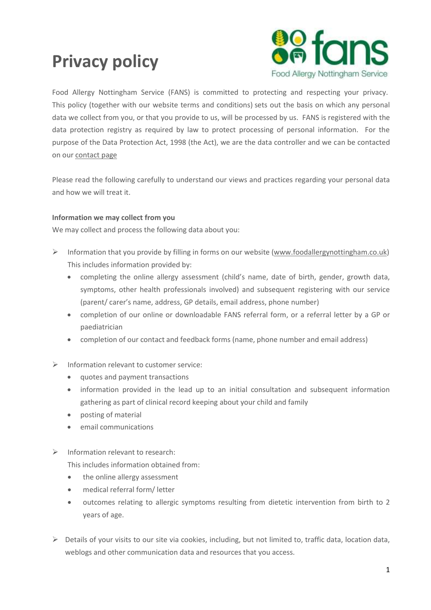# **Privacy policy**



Food Allergy Nottingham Service (FANS) is committed to protecting and respecting your privacy. This policy (together with our website terms and conditions) sets out the basis on which any personal data we collect from you, or that you provide to us, will be processed by us. FANS is registered with the data protection registry as required by law to protect processing of personal information. For the purpose of the Data Protection Act, 1998 (the Act), we are the data controller and we can be contacted on our [contact page](http://foodallergynottingham.co.uk/contact)

Please read the following carefully to understand our views and practices regarding your personal data and how we will treat it.

# **Information we may collect from you**

We may collect and process the following data about you:

- Information that you provide by filling in forms on our website [\(www.foodallergynottingham.co.uk\)](http://www.foodallergynottingham.co.uk/) This includes information provided by:
	- completing the online allergy assessment (child's name, date of birth, gender, growth data, symptoms, other health professionals involved) and subsequent registering with our service (parent/ carer's name, address, GP details, email address, phone number)
	- completion of our online or downloadable FANS referral form, or a referral letter by a GP or paediatrician
	- completion of our contact and feedback forms (name, phone number and email address)
- $\triangleright$  Information relevant to customer service:
	- quotes and payment transactions
	- information provided in the lead up to an initial consultation and subsequent information gathering as part of clinical record keeping about your child and family
	- posting of material
	- email communications
- $\triangleright$  Information relevant to research:

This includes information obtained from:

- the online allergy assessment
- medical referral form/ letter
- outcomes relating to allergic symptoms resulting from dietetic intervention from birth to 2 years of age.
- $\triangleright$  Details of your visits to our site via cookies, including, but not limited to, traffic data, location data, weblogs and other communication data and resources that you access.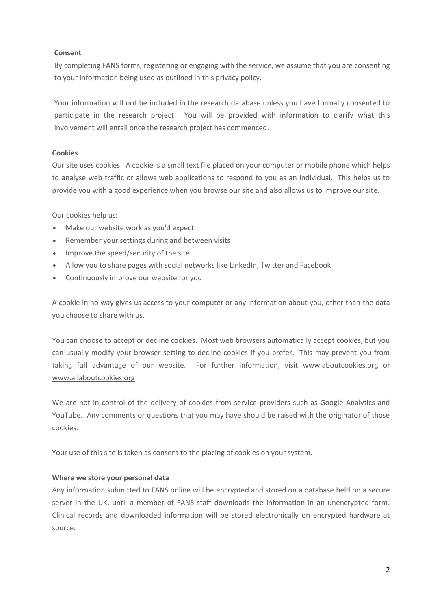#### **Consent**

By completing FANS forms, registering or engaging with the service, we assume that you are consenting to your information being used as outlined in this privacy policy.

Your information will not be included in the research database unless you have formally consented to participate in the research project. You will be provided with information to clarify what this involvement will entail once the research project has commenced.

# **Cookies**

Our site uses cookies. A cookie is a small text file placed on your computer or mobile phone which helps to analyse web traffic or allows web applications to respond to you as an individual. This helps us to provide you with a good experience when you browse our site and also allows us to improve our site.

Our cookies help us:

- Make our website work as you'd expect
- Remember your settings during and between visits
- Improve the speed/security of the site
- Allow you to share pages with social networks like LinkedIn, Twitter and Facebook
- Continuously improve our website for you

A cookie in no way gives us access to your computer or any information about you, other than the data you choose to share with us.

You can choose to accept or decline cookies. Most web browsers automatically accept cookies, but you can usually modify your browser setting to decline cookies if you prefer. This may prevent you from taking full advantage of our website. For further information, visit [www.aboutcookies.org](http://www.aboutcookies.org/) or [www.allaboutcookies.org](http://www.allaboutcookies.org/)

We are not in control of the delivery of cookies from service providers such as Google Analytics and YouTube. Any comments or questions that you may have should be raised with the originator of those cookies.

Your use of this site is taken as consent to the placing of cookies on your system.

# **Where we store your personal data**

Any information submitted to FANS online will be encrypted and stored on a database held on a secure server in the UK, until a member of FANS staff downloads the information in an unencrypted form. Clinical records and downloaded information will be stored electronically on encrypted hardware at source.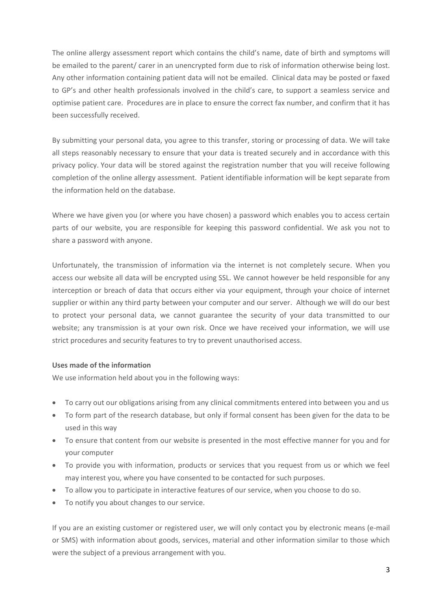The online allergy assessment report which contains the child's name, date of birth and symptoms will be emailed to the parent/ carer in an unencrypted form due to risk of information otherwise being lost. Any other information containing patient data will not be emailed. Clinical data may be posted or faxed to GP's and other health professionals involved in the child's care, to support a seamless service and optimise patient care. Procedures are in place to ensure the correct fax number, and confirm that it has been successfully received.

By submitting your personal data, you agree to this transfer, storing or processing of data. We will take all steps reasonably necessary to ensure that your data is treated securely and in accordance with this privacy policy. Your data will be stored against the registration number that you will receive following completion of the online allergy assessment. Patient identifiable information will be kept separate from the information held on the database.

Where we have given you (or where you have chosen) a password which enables you to access certain parts of our website, you are responsible for keeping this password confidential. We ask you not to share a password with anyone.

Unfortunately, the transmission of information via the internet is not completely secure. When you access our website all data will be encrypted using SSL. We cannot however be held responsible for any interception or breach of data that occurs either via your equipment, through your choice of internet supplier or within any third party between your computer and our server. Although we will do our best to protect your personal data, we cannot guarantee the security of your data transmitted to our website; any transmission is at your own risk. Once we have received your information, we will use strict procedures and security features to try to prevent unauthorised access.

# **Uses made of the information**

We use information held about you in the following ways:

- To carry out our obligations arising from any clinical commitments entered into between you and us
- To form part of the research database, but only if formal consent has been given for the data to be used in this way
- To ensure that content from our website is presented in the most effective manner for you and for your computer
- To provide you with information, products or services that you request from us or which we feel may interest you, where you have consented to be contacted for such purposes.
- To allow you to participate in interactive features of our service, when you choose to do so.
- To notify you about changes to our service.

If you are an existing customer or registered user, we will only contact you by electronic means (e-mail or SMS) with information about goods, services, material and other information similar to those which were the subject of a previous arrangement with you.